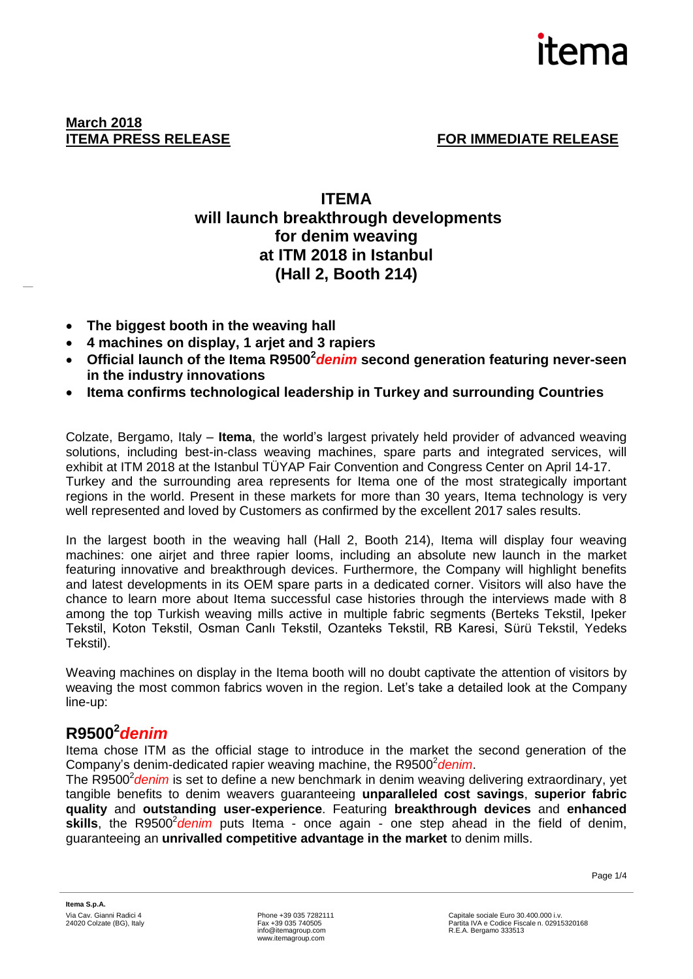

**ITEMA PRESS RELEASE FOR IMMEDIATE RELEASE** 

## **ITEMA will launch breakthrough developments for denim weaving at ITM 2018 in Istanbul (Hall 2, Booth 214)**

- **The biggest booth in the weaving hall**
- **4 machines on display, 1 arjet and 3 rapiers**
- **Official launch of the Itema R9500<sup>2</sup>** *denim* **second generation featuring never-seen in the industry innovations**
- **Itema confirms technological leadership in Turkey and surrounding Countries**

Colzate, Bergamo, Italy – **Itema**, the world's largest privately held provider of advanced weaving solutions, including best-in-class weaving machines, spare parts and integrated services, will exhibit at ITM 2018 at the Istanbul TÜYAP Fair Convention and Congress Center on April 14-17. Turkey and the surrounding area represents for Itema one of the most strategically important regions in the world. Present in these markets for more than 30 years, Itema technology is very well represented and loved by Customers as confirmed by the excellent 2017 sales results.

In the largest booth in the weaving hall (Hall 2, Booth 214), Itema will display four weaving machines: one airjet and three rapier looms, including an absolute new launch in the market featuring innovative and breakthrough devices. Furthermore, the Company will highlight benefits and latest developments in its OEM spare parts in a dedicated corner. Visitors will also have the chance to learn more about Itema successful case histories through the interviews made with 8 among the top Turkish weaving mills active in multiple fabric segments (Berteks Tekstil, Ipeker Tekstil, Koton Tekstil, Osman Canlı Tekstil, Ozanteks Tekstil, RB Karesi, Sürü Tekstil, Yedeks Tekstil).

Weaving machines on display in the Itema booth will no doubt captivate the attention of visitors by weaving the most common fabrics woven in the region. Let's take a detailed look at the Company line-up:

# **R9500<sup>2</sup>** *denim*

Itema chose ITM as the official stage to introduce in the market the second generation of the Company's denim-dedicated rapier weaving machine, the R9500<sup>2</sup> denim.

The R9500<sup>2</sup> denim is set to define a new benchmark in denim weaving delivering extraordinary, yet tangible benefits to denim weavers guaranteeing **unparalleled cost savings**, **superior fabric quality** and **outstanding user-experience**. Featuring **breakthrough devices** and **enhanced**  skills, the R9500<sup>2</sup> denim puts Itema - once again - one step ahead in the field of denim, guaranteeing an **unrivalled competitive advantage in the market** to denim mills.

Page 1/4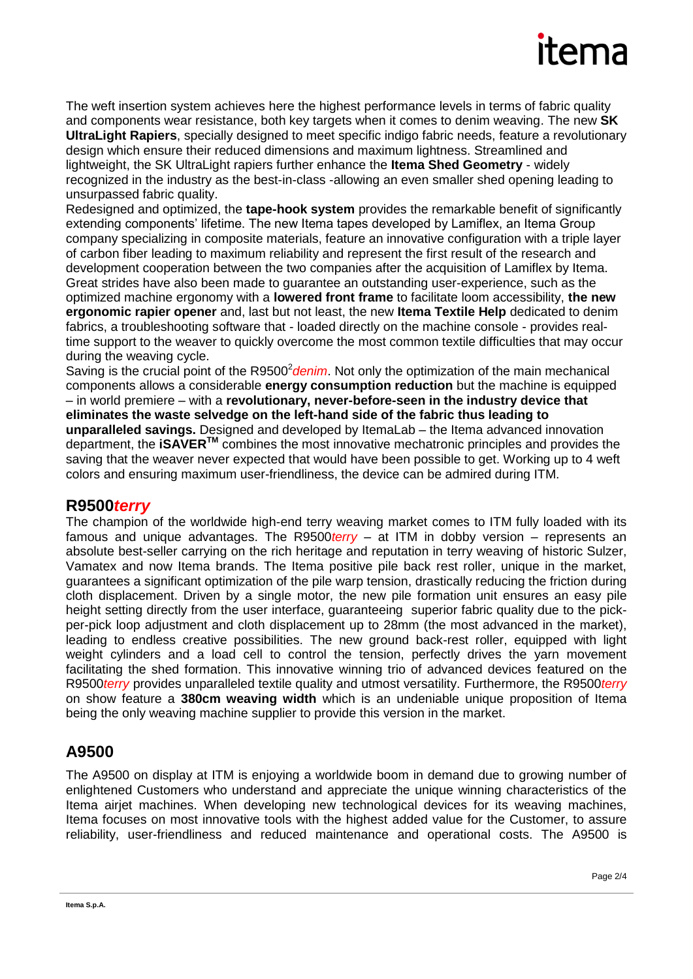# itema

The weft insertion system achieves here the highest performance levels in terms of fabric quality and components wear resistance, both key targets when it comes to denim weaving. The new **SK UltraLight Rapiers**, specially designed to meet specific indigo fabric needs, feature a revolutionary design which ensure their reduced dimensions and maximum lightness. Streamlined and lightweight, the SK UltraLight rapiers further enhance the **Itema Shed Geometry** - widely recognized in the industry as the best-in-class -allowing an even smaller shed opening leading to unsurpassed fabric quality.

Redesigned and optimized, the **tape-hook system** provides the remarkable benefit of significantly extending components' lifetime. The new Itema tapes developed by Lamiflex, an Itema Group company specializing in composite materials, feature an innovative configuration with a triple layer of carbon fiber leading to maximum reliability and represent the first result of the research and development cooperation between the two companies after the acquisition of Lamiflex by Itema. Great strides have also been made to guarantee an outstanding user-experience, such as the optimized machine ergonomy with a **lowered front frame** to facilitate loom accessibility, **the new ergonomic rapier opener** and, last but not least, the new **Itema Textile Help** dedicated to denim fabrics, a troubleshooting software that - loaded directly on the machine console - provides realtime support to the weaver to quickly overcome the most common textile difficulties that may occur during the weaving cycle.

Saving is the crucial point of the R9500<sup>2</sup> denim. Not only the optimization of the main mechanical components allows a considerable **energy consumption reduction** but the machine is equipped – in world premiere – with a **revolutionary, never-before-seen in the industry device that eliminates the waste selvedge on the left-hand side of the fabric thus leading to unparalleled savings.** Designed and developed by ItemaLab – the Itema advanced innovation department, the **iSAVERTM** combines the most innovative mechatronic principles and provides the saving that the weaver never expected that would have been possible to get. Working up to 4 weft colors and ensuring maximum user-friendliness, the device can be admired during ITM.

## **R9500***terry*

The champion of the worldwide high-end terry weaving market comes to ITM fully loaded with its famous and unique advantages. The R9500*terry* – at ITM in dobby version – represents an absolute best-seller carrying on the rich heritage and reputation in terry weaving of historic Sulzer, Vamatex and now Itema brands. The Itema positive pile back rest roller, unique in the market, guarantees a significant optimization of the pile warp tension, drastically reducing the friction during cloth displacement. Driven by a single motor, the new pile formation unit ensures an easy pile height setting directly from the user interface, guaranteeing superior fabric quality due to the pickper-pick loop adjustment and cloth displacement up to 28mm (the most advanced in the market), leading to endless creative possibilities. The new ground back-rest roller, equipped with light weight cylinders and a load cell to control the tension, perfectly drives the yarn movement facilitating the shed formation. This innovative winning trio of advanced devices featured on the R9500*terry* provides unparalleled textile quality and utmost versatility. Furthermore, the R9500*terry* on show feature a **380cm weaving width** which is an undeniable unique proposition of Itema being the only weaving machine supplier to provide this version in the market.

# **A9500**

The A9500 on display at ITM is enjoying a worldwide boom in demand due to growing number of enlightened Customers who understand and appreciate the unique winning characteristics of the Itema airjet machines. When developing new technological devices for its weaving machines, Itema focuses on most innovative tools with the highest added value for the Customer, to assure reliability, user-friendliness and reduced maintenance and operational costs. The A9500 is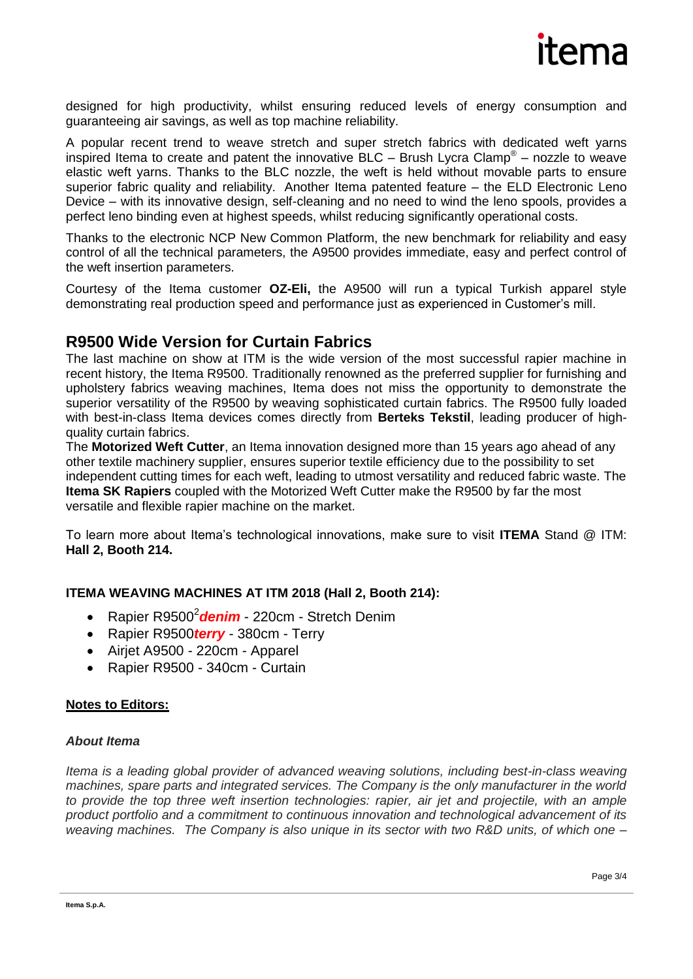

designed for high productivity, whilst ensuring reduced levels of energy consumption and guaranteeing air savings, as well as top machine reliability.

A popular recent trend to weave stretch and super stretch fabrics with dedicated weft yarns inspired Itema to create and patent the innovative BLC – Brush Lycra Clamp® – nozzle to weave elastic weft yarns. Thanks to the BLC nozzle, the weft is held without movable parts to ensure superior fabric quality and reliability. Another Itema patented feature – the ELD Electronic Leno Device – with its innovative design, self-cleaning and no need to wind the leno spools, provides a perfect leno binding even at highest speeds, whilst reducing significantly operational costs.

Thanks to the electronic NCP New Common Platform, the new benchmark for reliability and easy control of all the technical parameters, the A9500 provides immediate, easy and perfect control of the weft insertion parameters.

Courtesy of the Itema customer **OZ-Eli,** the A9500 will run a typical Turkish apparel style demonstrating real production speed and performance just as experienced in Customer's mill.

### **R9500 Wide Version for Curtain Fabrics**

The last machine on show at ITM is the wide version of the most successful rapier machine in recent history, the Itema R9500. Traditionally renowned as the preferred supplier for furnishing and upholstery fabrics weaving machines, Itema does not miss the opportunity to demonstrate the superior versatility of the R9500 by weaving sophisticated curtain fabrics. The R9500 fully loaded with best-in-class Itema devices comes directly from **Berteks Tekstil**, leading producer of highquality curtain fabrics.

The **Motorized Weft Cutter**, an Itema innovation designed more than 15 years ago ahead of any other textile machinery supplier, ensures superior textile efficiency due to the possibility to set independent cutting times for each weft, leading to utmost versatility and reduced fabric waste. The **Itema SK Rapiers** coupled with the Motorized Weft Cutter make the R9500 by far the most versatile and flexible rapier machine on the market.

To learn more about Itema's technological innovations, make sure to visit **ITEMA** Stand @ ITM: **Hall 2, Booth 214.**

### **ITEMA WEAVING MACHINES AT ITM 2018 (Hall 2, Booth 214):**

- Rapier R9500<sup>2</sup> denim 220cm Stretch Denim
- Rapier R9500*terry* 380cm Terry
- Airjet A9500 220cm Apparel
- Rapier R9500 340cm Curtain

#### **Notes to Editors:**

#### *About Itema*

*Itema is a leading global provider of advanced weaving solutions, including best-in-class weaving machines, spare parts and integrated services. The Company is the only manufacturer in the world to provide the top three weft insertion technologies: rapier, air jet and projectile, with an ample product portfolio and a commitment to continuous innovation and technological advancement of its weaving machines. The Company is also unique in its sector with two R&D units, of which one –*